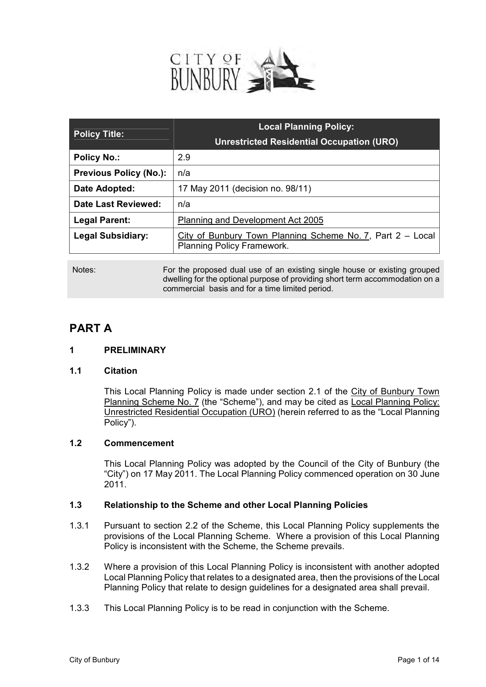

|                               | <b>Local Planning Policy:</b>                                                                   |
|-------------------------------|-------------------------------------------------------------------------------------------------|
| <b>Policy Title:</b>          | <b>Unrestricted Residential Occupation (URO)</b>                                                |
| <b>Policy No.:</b>            | 2.9                                                                                             |
| <b>Previous Policy (No.):</b> | n/a                                                                                             |
| Date Adopted:                 | 17 May 2011 (decision no. 98/11)                                                                |
| Date Last Reviewed:           | n/a                                                                                             |
| <b>Legal Parent:</b>          | Planning and Development Act 2005                                                               |
| <b>Legal Subsidiary:</b>      | City of Bunbury Town Planning Scheme No. 7, Part 2 – Local<br><b>Planning Policy Framework.</b> |

Notes: For the proposed dual use of an existing single house or existing grouped dwelling for the optional purpose of providing short term accommodation on a commercial basis and for a time limited period.

# **PART A**

# **1 PRELIMINARY**

# **1.1 Citation**

This Local Planning Policy is made under section 2.1 of the City of Bunbury Town Planning Scheme No. 7 (the "Scheme"), and may be cited as Local Planning Policy: Unrestricted Residential Occupation (URO) (herein referred to as the "Local Planning Policy").

# **1.2 Commencement**

This Local Planning Policy was adopted by the Council of the City of Bunbury (the "City") on 17 May 2011. The Local Planning Policy commenced operation on 30 June 2011.

# **1.3 Relationship to the Scheme and other Local Planning Policies**

- 1.3.1 Pursuant to section 2.2 of the Scheme, this Local Planning Policy supplements the provisions of the Local Planning Scheme. Where a provision of this Local Planning Policy is inconsistent with the Scheme, the Scheme prevails.
- 1.3.2 Where a provision of this Local Planning Policy is inconsistent with another adopted Local Planning Policy that relates to a designated area, then the provisions of the Local Planning Policy that relate to design guidelines for a designated area shall prevail.
- 1.3.3 This Local Planning Policy is to be read in conjunction with the Scheme.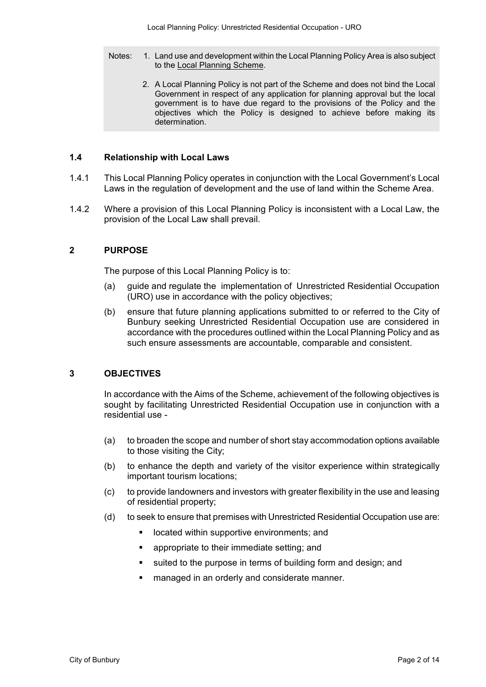- Notes: 1. Land use and development within the Local Planning Policy Area is also subject to the Local Planning Scheme.
	- 2. A Local Planning Policy is not part of the Scheme and does not bind the Local Government in respect of any application for planning approval but the local government is to have due regard to the provisions of the Policy and the objectives which the Policy is designed to achieve before making its determination.

# **1.4 Relationship with Local Laws**

- 1.4.1 This Local Planning Policy operates in conjunction with the Local Government's Local Laws in the regulation of development and the use of land within the Scheme Area.
- 1.4.2 Where a provision of this Local Planning Policy is inconsistent with a Local Law, the provision of the Local Law shall prevail.

#### **2 PURPOSE**

The purpose of this Local Planning Policy is to:

- (a) guide and regulate the implementation of Unrestricted Residential Occupation (URO) use in accordance with the policy objectives;
- (b) ensure that future planning applications submitted to or referred to the City of Bunbury seeking Unrestricted Residential Occupation use are considered in accordance with the procedures outlined within the Local Planning Policy and as such ensure assessments are accountable, comparable and consistent.

#### **3 OBJECTIVES**

In accordance with the Aims of the Scheme, achievement of the following objectives is sought by facilitating Unrestricted Residential Occupation use in conjunction with a residential use -

- (a) to broaden the scope and number of short stay accommodation options available to those visiting the City;
- (b) to enhance the depth and variety of the visitor experience within strategically important tourism locations;
- (c) to provide landowners and investors with greater flexibility in the use and leasing of residential property;
- (d) to seek to ensure that premises with Unrestricted Residential Occupation use are:
	- **-** located within supportive environments; and
	- **EXEC** appropriate to their immediate setting; and
	- suited to the purpose in terms of building form and design; and
	- **EXEC** managed in an orderly and considerate manner.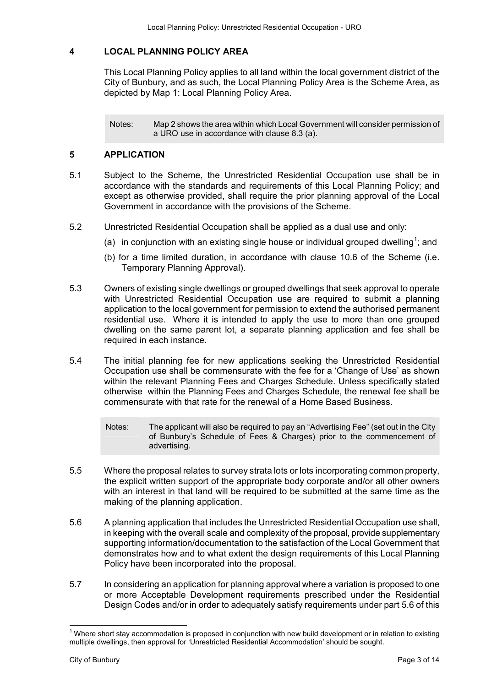# **4 LOCAL PLANNING POLICY AREA**

This Local Planning Policy applies to all land within the local government district of the City of Bunbury, and as such, the Local Planning Policy Area is the Scheme Area, as depicted by Map 1: Local Planning Policy Area.

Notes: Map 2 shows the area within which Local Government will consider permission of a URO use in accordance with clause 8.3 (a).

# **5 APPLICATION**

- 5.1 Subject to the Scheme, the Unrestricted Residential Occupation use shall be in accordance with the standards and requirements of this Local Planning Policy; and except as otherwise provided, shall require the prior planning approval of the Local Government in accordance with the provisions of the Scheme.
- 5.2 Unrestricted Residential Occupation shall be applied as a dual use and only:
	- (a) in conjunction with an existing single house or individual grouped dwelling<sup>1</sup>; and
	- (b) for a time limited duration, in accordance with clause 10.6 of the Scheme (i.e. Temporary Planning Approval).
- 5.3 Owners of existing single dwellings or grouped dwellings that seek approval to operate with Unrestricted Residential Occupation use are required to submit a planning application to the local government for permission to extend the authorised permanent residential use. Where it is intended to apply the use to more than one grouped dwelling on the same parent lot, a separate planning application and fee shall be required in each instance.
- 5.4 The initial planning fee for new applications seeking the Unrestricted Residential Occupation use shall be commensurate with the fee for a 'Change of Use' as shown within the relevant Planning Fees and Charges Schedule. Unless specifically stated otherwise within the Planning Fees and Charges Schedule, the renewal fee shall be commensurate with that rate for the renewal of a Home Based Business.

Notes: The applicant will also be required to pay an "Advertising Fee" (set out in the City of Bunbury's Schedule of Fees & Charges) prior to the commencement of advertising.

- 5.5 Where the proposal relates to survey strata lots or lots incorporating common property, the explicit written support of the appropriate body corporate and/or all other owners with an interest in that land will be required to be submitted at the same time as the making of the planning application.
- 5.6 A planning application that includes the Unrestricted Residential Occupation use shall, in keeping with the overall scale and complexity of the proposal, provide supplementary supporting information/documentation to the satisfaction of the Local Government that demonstrates how and to what extent the design requirements of this Local Planning Policy have been incorporated into the proposal.
- 5.7 In considering an application for planning approval where a variation is proposed to one or more Acceptable Development requirements prescribed under the Residential Design Codes and/or in order to adequately satisfy requirements under part 5.6 of this

 1 Where short stay accommodation is proposed in conjunction with new build development or in relation to existing multiple dwellings, then approval for 'Unrestricted Residential Accommodation' should be sought.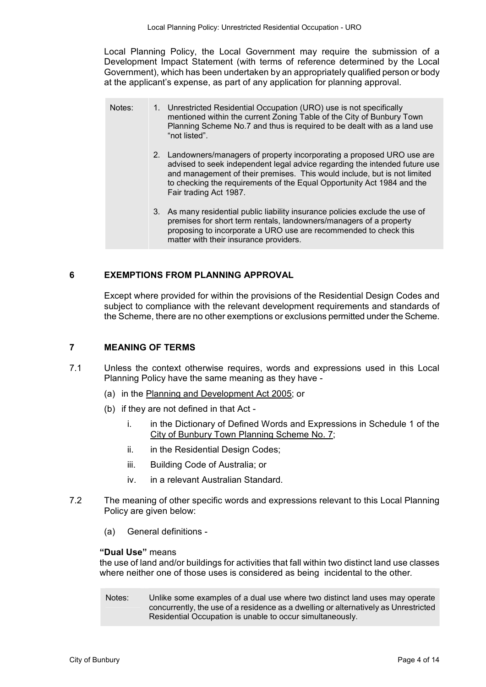Local Planning Policy, the Local Government may require the submission of a Development Impact Statement (with terms of reference determined by the Local Government), which has been undertaken by an appropriately qualified person or body at the applicant's expense, as part of any application for planning approval.

| Notes: | 1. Unrestricted Residential Occupation (URO) use is not specifically<br>mentioned within the current Zoning Table of the City of Bunbury Town<br>Planning Scheme No.7 and thus is required to be dealt with as a land use<br>"not listed".                                                                                            |
|--------|---------------------------------------------------------------------------------------------------------------------------------------------------------------------------------------------------------------------------------------------------------------------------------------------------------------------------------------|
|        | 2. Landowners/managers of property incorporating a proposed URO use are<br>advised to seek independent legal advice regarding the intended future use<br>and management of their premises. This would include, but is not limited<br>to checking the requirements of the Equal Opportunity Act 1984 and the<br>Fair trading Act 1987. |
|        | 3. As many residential public liability insurance policies exclude the use of<br>premises for short term rentals, landowners/managers of a property<br>proposing to incorporate a URO use are recommended to check this<br>matter with their insurance providers.                                                                     |

#### **6 EXEMPTIONS FROM PLANNING APPROVAL**

 Except where provided for within the provisions of the Residential Design Codes and subject to compliance with the relevant development requirements and standards of the Scheme, there are no other exemptions or exclusions permitted under the Scheme.

### **7 MEANING OF TERMS**

- 7.1 Unless the context otherwise requires, words and expressions used in this Local Planning Policy have the same meaning as they have -
	- (a) in the Planning and Development Act 2005; or
	- (b) if they are not defined in that Act
		- i. in the Dictionary of Defined Words and Expressions in Schedule 1 of the City of Bunbury Town Planning Scheme No. 7;
		- ii. in the Residential Design Codes;
		- iii. Building Code of Australia; or
		- iv. in a relevant Australian Standard.
- 7.2 The meaning of other specific words and expressions relevant to this Local Planning Policy are given below:
	- (a) General definitions -

#### **"Dual Use"** means

the use of land and/or buildings for activities that fall within two distinct land use classes where neither one of those uses is considered as being incidental to the other*.* 

Notes: Unlike some examples of a dual use where two distinct land uses may operate concurrently, the use of a residence as a dwelling or alternatively as Unrestricted Residential Occupation is unable to occur simultaneously.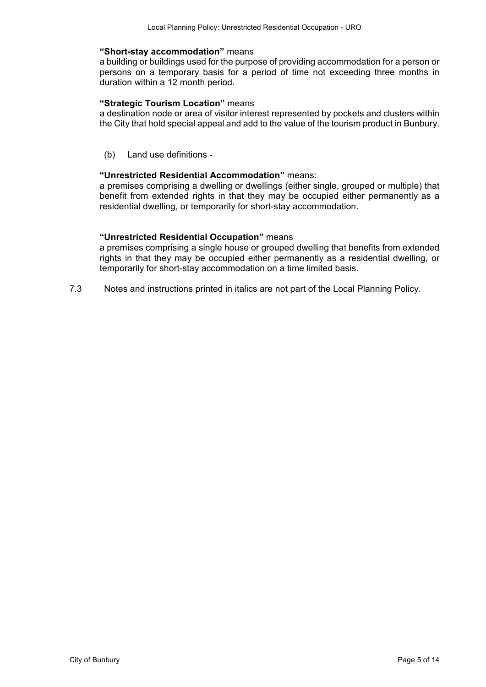#### **"Short-stay accommodation"** means

a building or buildings used for the purpose of providing accommodation for a person or persons on a temporary basis for a period of time not exceeding three months in duration within a 12 month period.

#### **"Strategic Tourism Location"** means

a destination node or area of visitor interest represented by pockets and clusters within the City that hold special appeal and add to the value of the tourism product in Bunbury.

(b) Land use definitions -

#### **"Unrestricted Residential Accommodation"** means:

a premises comprising a dwelling or dwellings (either single, grouped or multiple) that benefit from extended rights in that they may be occupied either permanently as a residential dwelling, or temporarily for short-stay accommodation.

### **"Unrestricted Residential Occupation"** means

a premises comprising a single house or grouped dwelling that benefits from extended rights in that they may be occupied either permanently as a residential dwelling, or temporarily for short-stay accommodation on a time limited basis.

7.3 Notes and instructions printed in italics are not part of the Local Planning Policy.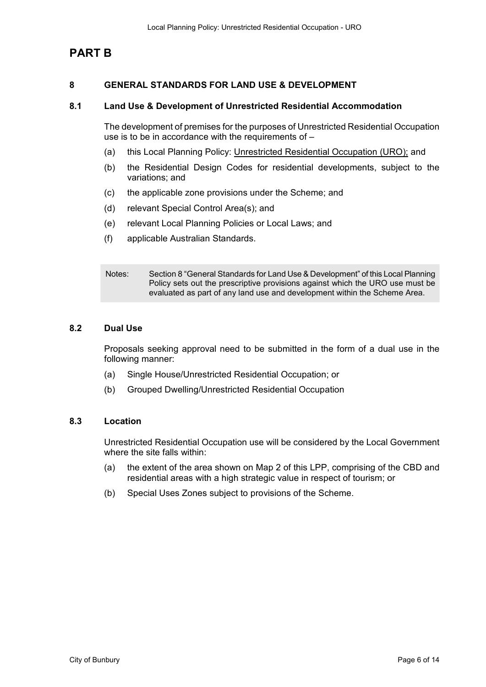# **PART B**

# **8 GENERAL STANDARDS FOR LAND USE & DEVELOPMENT**

#### **8.1 Land Use & Development of Unrestricted Residential Accommodation**

The development of premises for the purposes of Unrestricted Residential Occupation use is to be in accordance with the requirements of –

- (a) this Local Planning Policy: Unrestricted Residential Occupation (URO); and
- (b) the Residential Design Codes for residential developments, subject to the variations; and
- (c) the applicable zone provisions under the Scheme; and
- (d) relevant Special Control Area(s); and
- (e) relevant Local Planning Policies or Local Laws; and
- (f) applicable Australian Standards.

Notes: Section 8 "General Standards for Land Use & Development" of this Local Planning Policy sets out the prescriptive provisions against which the URO use must be evaluated as part of any land use and development within the Scheme Area.

#### **8.2 Dual Use**

Proposals seeking approval need to be submitted in the form of a dual use in the following manner:

- (a) Single House/Unrestricted Residential Occupation; or
- (b) Grouped Dwelling/Unrestricted Residential Occupation

#### **8.3 Location**

Unrestricted Residential Occupation use will be considered by the Local Government where the site falls within:

- (a) the extent of the area shown on Map 2 of this LPP, comprising of the CBD and residential areas with a high strategic value in respect of tourism; or
- (b) Special Uses Zones subject to provisions of the Scheme.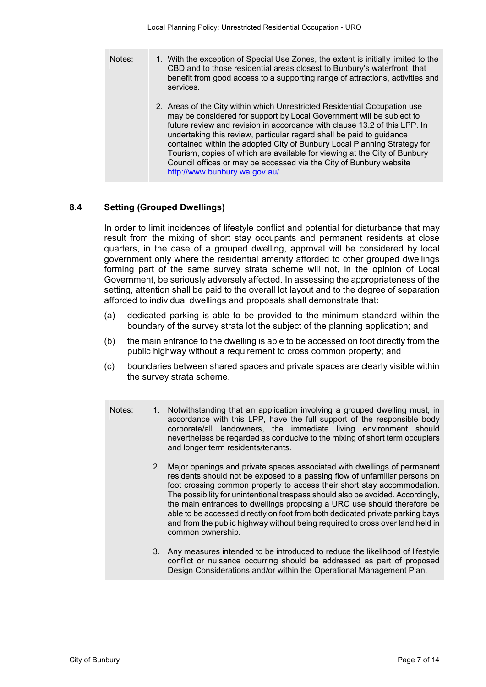1. With the exception of Special Use Zones, the extent is initially limited to the CBD and to those residential areas closest to Bunbury's waterfront that benefit from good access to a supporting range of attractions, activities and services. Notes: 2. Areas of the City within which Unrestricted Residential Occupation use may be considered for support by Local Government will be subject to future review and revision in accordance with clause 13.2 of this LPP. In undertaking this review, particular regard shall be paid to guidance contained within the adopted City of Bunbury Local Planning Strategy for Tourism, copies of which are available for viewing at the City of Bunbury Council offices or may be accessed via the City of Bunbury website http://www.bunbury.wa.gov.au/.

# **8.4 Setting (Grouped Dwellings)**

 In order to limit incidences of lifestyle conflict and potential for disturbance that may result from the mixing of short stay occupants and permanent residents at close quarters, in the case of a grouped dwelling, approval will be considered by local government only where the residential amenity afforded to other grouped dwellings forming part of the same survey strata scheme will not, in the opinion of Local Government, be seriously adversely affected. In assessing the appropriateness of the setting, attention shall be paid to the overall lot layout and to the degree of separation afforded to individual dwellings and proposals shall demonstrate that:

- (a) dedicated parking is able to be provided to the minimum standard within the boundary of the survey strata lot the subject of the planning application; and
- (b) the main entrance to the dwelling is able to be accessed on foot directly from the public highway without a requirement to cross common property; and
- (c) boundaries between shared spaces and private spaces are clearly visible within the survey strata scheme.
	- Notes: 1. Notwithstanding that an application involving a grouped dwelling must, in accordance with this LPP, have the full support of the responsible body corporate/all landowners, the immediate living environment should nevertheless be regarded as conducive to the mixing of short term occupiers and longer term residents/tenants.
		- 2. Major openings and private spaces associated with dwellings of permanent residents should not be exposed to a passing flow of unfamiliar persons on foot crossing common property to access their short stay accommodation. The possibility for unintentional trespass should also be avoided. Accordingly, the main entrances to dwellings proposing a URO use should therefore be able to be accessed directly on foot from both dedicated private parking bays and from the public highway without being required to cross over land held in common ownership.
		- 3. Any measures intended to be introduced to reduce the likelihood of lifestyle conflict or nuisance occurring should be addressed as part of proposed Design Considerations and/or within the Operational Management Plan.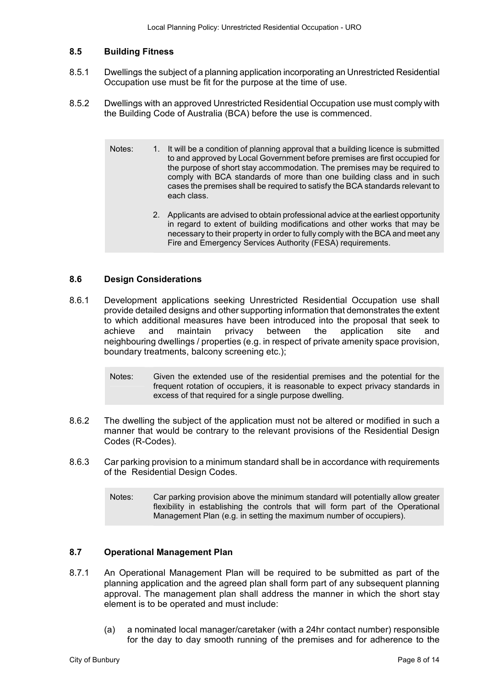# **8.5 Building Fitness**

- 8.5.1 Dwellings the subject of a planning application incorporating an Unrestricted Residential Occupation use must be fit for the purpose at the time of use.
- 8.5.2 Dwellings with an approved Unrestricted Residential Occupation use must comply with the Building Code of Australia (BCA) before the use is commenced.
	- Notes: 1. It will be a condition of planning approval that a building licence is submitted to and approved by Local Government before premises are first occupied for the purpose of short stay accommodation. The premises may be required to comply with BCA standards of more than one building class and in such cases the premises shall be required to satisfy the BCA standards relevant to each class.
		- 2. Applicants are advised to obtain professional advice at the earliest opportunity in regard to extent of building modifications and other works that may be necessary to their property in order to fully comply with the BCA and meet any Fire and Emergency Services Authority (FESA) requirements.

# **8.6 Design Considerations**

- 8.6.1 Development applications seeking Unrestricted Residential Occupation use shall provide detailed designs and other supporting information that demonstrates the extent to which additional measures have been introduced into the proposal that seek to achieve and maintain privacy between the application site and neighbouring dwellings / properties (e.g. in respect of private amenity space provision, boundary treatments, balcony screening etc.);
	- Notes: Given the extended use of the residential premises and the potential for the frequent rotation of occupiers, it is reasonable to expect privacy standards in excess of that required for a single purpose dwelling.
- 8.6.2 The dwelling the subject of the application must not be altered or modified in such a manner that would be contrary to the relevant provisions of the Residential Design Codes (R-Codes).
- 8.6.3 Car parking provision to a minimum standard shall be in accordance with requirements of the Residential Design Codes.
	- Notes: Car parking provision above the minimum standard will potentially allow greater flexibility in establishing the controls that will form part of the Operational Management Plan (e.g. in setting the maximum number of occupiers).

# **8.7 Operational Management Plan**

- 8.7.1 An Operational Management Plan will be required to be submitted as part of the planning application and the agreed plan shall form part of any subsequent planning approval. The management plan shall address the manner in which the short stay element is to be operated and must include:
	- (a) a nominated local manager/caretaker (with a 24hr contact number) responsible for the day to day smooth running of the premises and for adherence to the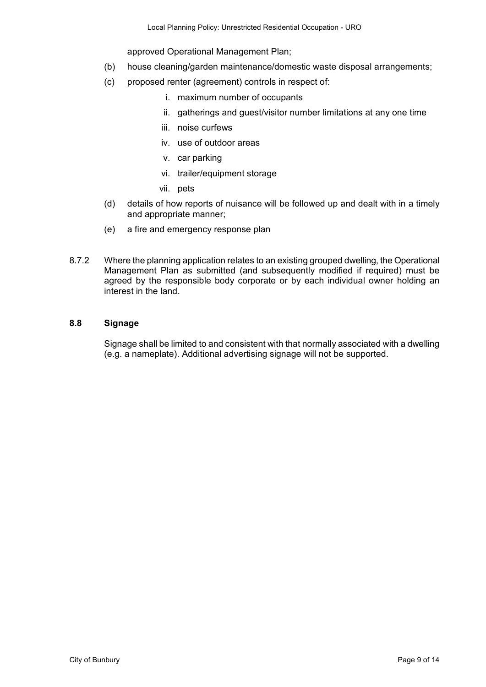approved Operational Management Plan;

- (b) house cleaning/garden maintenance/domestic waste disposal arrangements;
- (c) proposed renter (agreement) controls in respect of:
	- i. maximum number of occupants
	- ii. gatherings and guest/visitor number limitations at any one time
	- iii. noise curfews
	- iv. use of outdoor areas
	- v. car parking
	- vi. trailer/equipment storage
	- vii. pets
- (d) details of how reports of nuisance will be followed up and dealt with in a timely and appropriate manner;
- (e) a fire and emergency response plan
- 8.7.2 Where the planning application relates to an existing grouped dwelling, the Operational Management Plan as submitted (and subsequently modified if required) must be agreed by the responsible body corporate or by each individual owner holding an interest in the land.

#### **8.8 Signage**

Signage shall be limited to and consistent with that normally associated with a dwelling (e.g. a nameplate). Additional advertising signage will not be supported.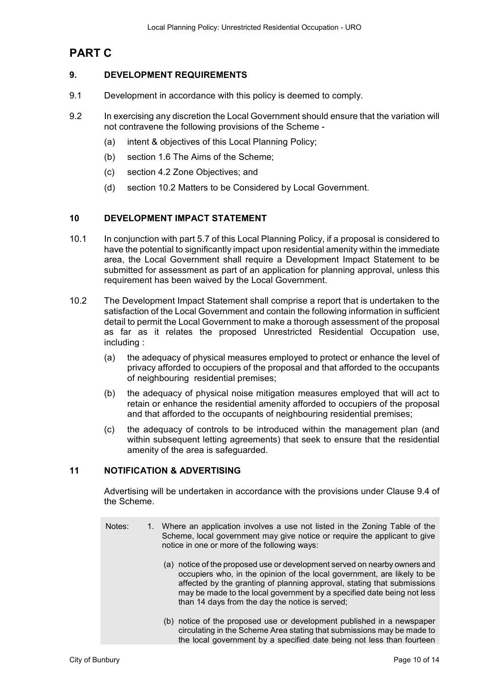# **PART C**

# **9. DEVELOPMENT REQUIREMENTS**

- 9.1 Development in accordance with this policy is deemed to comply.
- 9.2 In exercising any discretion the Local Government should ensure that the variation will not contravene the following provisions of the Scheme -
	- (a) intent & objectives of this Local Planning Policy;
	- (b) section 1.6 The Aims of the Scheme;
	- (c) section 4.2 Zone Objectives; and
	- (d) section 10.2 Matters to be Considered by Local Government.

# **10 DEVELOPMENT IMPACT STATEMENT**

- 10.1 In conjunction with part 5.7 of this Local Planning Policy, if a proposal is considered to have the potential to significantly impact upon residential amenity within the immediate area, the Local Government shall require a Development Impact Statement to be submitted for assessment as part of an application for planning approval, unless this requirement has been waived by the Local Government.
- 10.2 The Development Impact Statement shall comprise a report that is undertaken to the satisfaction of the Local Government and contain the following information in sufficient detail to permit the Local Government to make a thorough assessment of the proposal as far as it relates the proposed Unrestricted Residential Occupation use, including :
	- (a) the adequacy of physical measures employed to protect or enhance the level of privacy afforded to occupiers of the proposal and that afforded to the occupants of neighbouring residential premises;
	- (b) the adequacy of physical noise mitigation measures employed that will act to retain or enhance the residential amenity afforded to occupiers of the proposal and that afforded to the occupants of neighbouring residential premises;
	- (c) the adequacy of controls to be introduced within the management plan (and within subsequent letting agreements) that seek to ensure that the residential amenity of the area is safeguarded.

# **11 NOTIFICATION & ADVERTISING**

 Advertising will be undertaken in accordance with the provisions under Clause 9.4 of the Scheme.

- Notes: 1. Where an application involves a use not listed in the Zoning Table of the Scheme, local government may give notice or require the applicant to give notice in one or more of the following ways:
	- (a) notice of the proposed use or development served on nearby owners and occupiers who, in the opinion of the local government, are likely to be affected by the granting of planning approval, stating that submissions may be made to the local government by a specified date being not less than 14 days from the day the notice is served;
	- (b) notice of the proposed use or development published in a newspaper circulating in the Scheme Area stating that submissions may be made to the local government by a specified date being not less than fourteen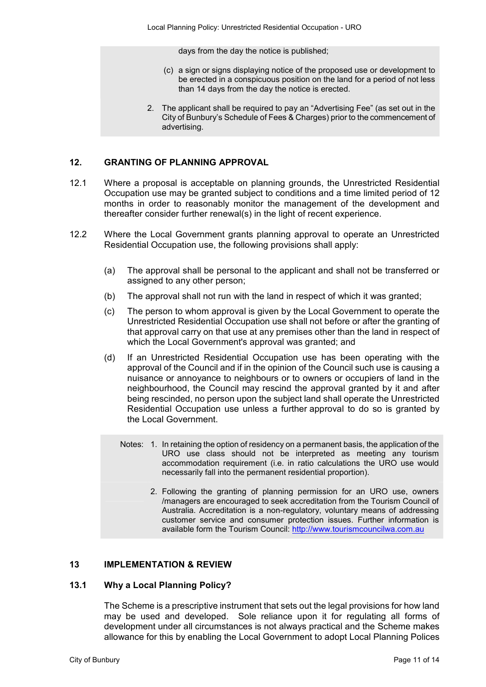days from the day the notice is published;

- (c) a sign or signs displaying notice of the proposed use or development to be erected in a conspicuous position on the land for a period of not less than 14 days from the day the notice is erected.
- 2. The applicant shall be required to pay an "Advertising Fee" (as set out in the City of Bunbury's Schedule of Fees & Charges) prior to the commencement of advertising.

# **12. GRANTING OF PLANNING APPROVAL**

- 12.1 Where a proposal is acceptable on planning grounds, the Unrestricted Residential Occupation use may be granted subject to conditions and a time limited period of 12 months in order to reasonably monitor the management of the development and thereafter consider further renewal(s) in the light of recent experience.
- 12.2 Where the Local Government grants planning approval to operate an Unrestricted Residential Occupation use, the following provisions shall apply:
	- (a) The approval shall be personal to the applicant and shall not be transferred or assigned to any other person;
	- (b) The approval shall not run with the land in respect of which it was granted;
	- (c) The person to whom approval is given by the Local Government to operate the Unrestricted Residential Occupation use shall not before or after the granting of that approval carry on that use at any premises other than the land in respect of which the Local Government's approval was granted; and
	- (d) If an Unrestricted Residential Occupation use has been operating with the approval of the Council and if in the opinion of the Council such use is causing a nuisance or annoyance to neighbours or to owners or occupiers of land in the neighbourhood, the Council may rescind the approval granted by it and after being rescinded, no person upon the subject land shall operate the Unrestricted Residential Occupation use unless a further approval to do so is granted by the Local Government.
		- Notes: 1. In retaining the option of residency on a permanent basis, the application of the URO use class should not be interpreted as meeting any tourism accommodation requirement (i.e. in ratio calculations the URO use would necessarily fall into the permanent residential proportion).
			- 2. Following the granting of planning permission for an URO use, owners /managers are encouraged to seek accreditation from the Tourism Council of Australia. Accreditation is a non-regulatory, voluntary means of addressing customer service and consumer protection issues. Further information is available form the Tourism Council: http://www.tourismcouncilwa.com.au

# **13 IMPLEMENTATION & REVIEW**

#### **13.1 Why a Local Planning Policy?**

The Scheme is a prescriptive instrument that sets out the legal provisions for how land may be used and developed. Sole reliance upon it for regulating all forms of development under all circumstances is not always practical and the Scheme makes allowance for this by enabling the Local Government to adopt Local Planning Polices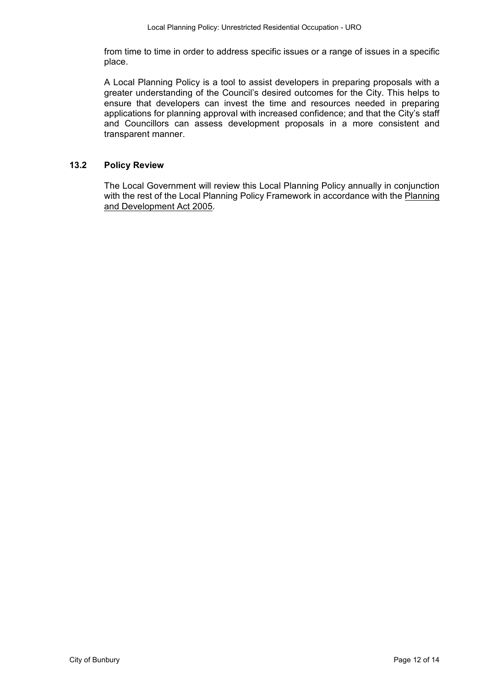from time to time in order to address specific issues or a range of issues in a specific place.

A Local Planning Policy is a tool to assist developers in preparing proposals with a greater understanding of the Council's desired outcomes for the City. This helps to ensure that developers can invest the time and resources needed in preparing applications for planning approval with increased confidence; and that the City's staff and Councillors can assess development proposals in a more consistent and transparent manner.

# **13.2 Policy Review**

The Local Government will review this Local Planning Policy annually in conjunction with the rest of the Local Planning Policy Framework in accordance with the Planning and Development Act 2005.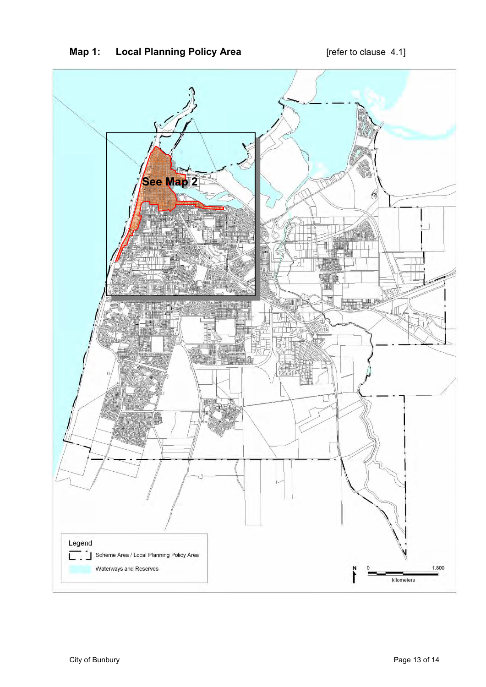

# **Map 1:** Local Planning Policy Area **1988** [refer to clause 4.1]

Ī